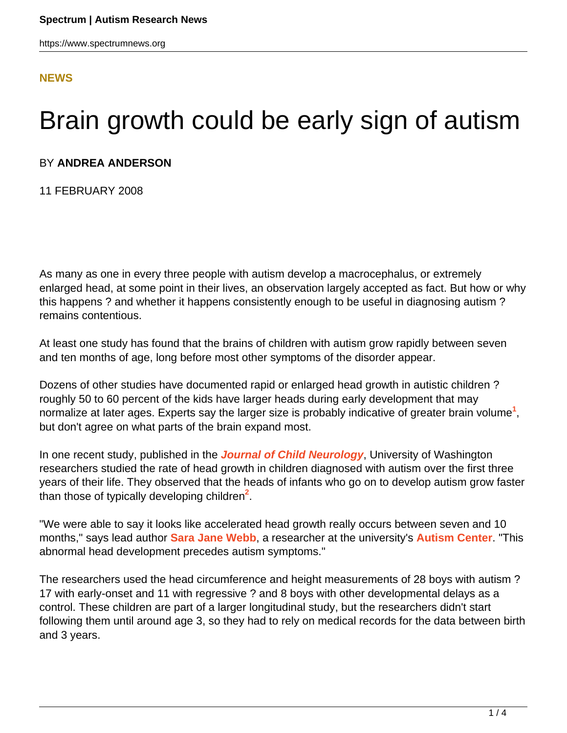## **[NEWS](HTTPS://WWW.SPECTRUMNEWS.ORG/NEWS/)**

# Brain growth could be early sign of autism

### BY **ANDREA ANDERSON**

11 FEBRUARY 2008

As many as one in every three people with autism develop a macrocephalus, or extremely enlarged head, at some point in their lives, an observation largely accepted as fact. But how or why this happens ? and whether it happens consistently enough to be useful in diagnosing autism ? remains contentious.

At least one study has found that the brains of children with autism grow rapidly between seven and ten months of age, long before most other symptoms of the disorder appear.

Dozens of other studies have documented rapid or enlarged head growth in autistic children ? roughly 50 to 60 percent of the kids have larger heads during early development that may normalize at later ages. Experts say the larger size is probably indicative of greater brain volume**<sup>1</sup>** , but don't agree on what parts of the brain expand most.

In one recent study, published in the **Journal of Child Neurology**, University of Washington researchers studied the rate of head growth in children diagnosed with autism over the first three years of their life. They observed that the heads of infants who go on to develop autism grow faster than those of typically developing children**<sup>2</sup>** .

"We were able to say it looks like accelerated head growth really occurs between seven and 10 months," says lead author **Sara Jane Webb**, a researcher at the university's **Autism Center**. "This abnormal head development precedes autism symptoms."

The researchers used the head circumference and height measurements of 28 boys with autism ? 17 with early-onset and 11 with regressive ? and 8 boys with other developmental delays as a control. These children are part of a larger longitudinal study, but the researchers didn't start following them until around age 3, so they had to rely on medical records for the data between birth and 3 years.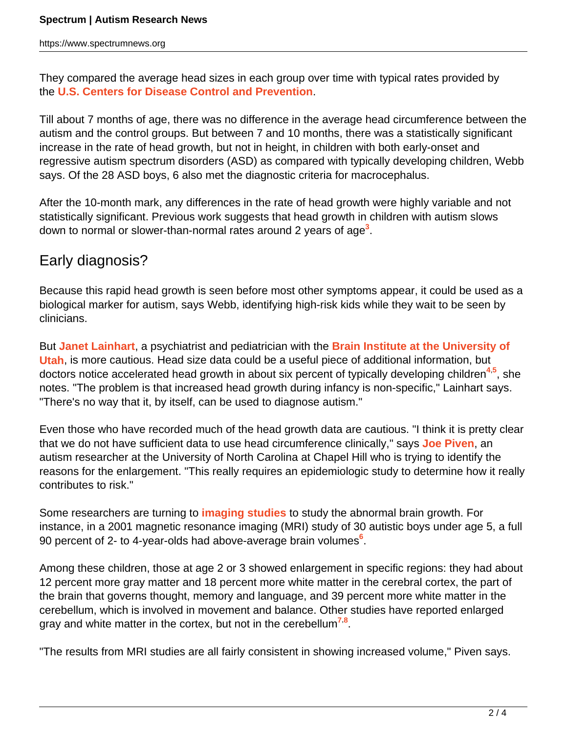They compared the average head sizes in each group over time with typical rates provided by the **U.S. Centers for Disease Control and Prevention**.

Till about 7 months of age, there was no difference in the average head circumference between the autism and the control groups. But between 7 and 10 months, there was a statistically significant increase in the rate of head growth, but not in height, in children with both early-onset and regressive autism spectrum disorders (ASD) as compared with typically developing children, Webb says. Of the 28 ASD boys, 6 also met the diagnostic criteria for macrocephalus.

After the 10-month mark, any differences in the rate of head growth were highly variable and not statistically significant. Previous work suggests that head growth in children with autism slows down to normal or slower-than-normal rates around 2 years of age**<sup>3</sup>** .

## Early diagnosis?

Because this rapid head growth is seen before most other symptoms appear, it could be used as a biological marker for autism, says Webb, identifying high-risk kids while they wait to be seen by clinicians.

But **Janet Lainhart**, a psychiatrist and pediatrician with the **Brain Institute at the University of Utah**, is more cautious. Head size data could be a useful piece of additional information, but doctors notice accelerated head growth in about six percent of typically developing children**<sup>4</sup>**,**<sup>5</sup>** , she notes. "The problem is that increased head growth during infancy is non-specific," Lainhart says. "There's no way that it, by itself, can be used to diagnose autism."

Even those who have recorded much of the head growth data are cautious. "I think it is pretty clear that we do not have sufficient data to use head circumference clinically," says **Joe Piven**, an autism researcher at the University of North Carolina at Chapel Hill who is trying to identify the reasons for the enlargement. "This really requires an epidemiologic study to determine how it really contributes to risk."

Some researchers are turning to **imaging studies** to study the abnormal brain growth. For instance, in a 2001 magnetic resonance imaging (MRI) study of 30 autistic boys under age 5, a full 90 percent of 2- to 4-year-olds had above-average brain volumes**<sup>6</sup>** .

Among these children, those at age 2 or 3 showed enlargement in specific regions: they had about 12 percent more gray matter and 18 percent more white matter in the cerebral cortex, the part of the brain that governs thought, memory and language, and 39 percent more white matter in the cerebellum, which is involved in movement and balance. Other studies have reported enlarged gray and white matter in the cortex, but not in the cerebellum**<sup>7</sup>**,**<sup>8</sup>** .

"The results from MRI studies are all fairly consistent in showing increased volume," Piven says.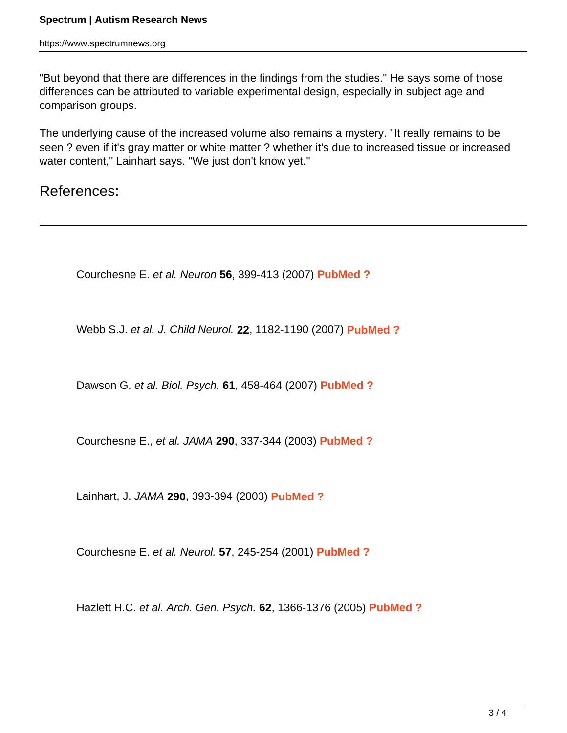"But beyond that there are differences in the findings from the studies." He says some of those differences can be attributed to variable experimental design, especially in subject age and comparison groups.

The underlying cause of the increased volume also remains a mystery. "It really remains to be seen ? even if it's gray matter or white matter ? whether it's due to increased tissue or increased water content," Lainhart says. "We just don't know yet."

## References:

Courchesne E. et al. Neuron **56**, 399-413 (2007) **PubMed ?**

Webb S.J. et al. J. Child Neurol. **22**, 1182-1190 (2007) **PubMed ?**

Dawson G. et al. Biol. Psych. **61**, 458-464 (2007) **PubMed ?**

Courchesne E., et al. JAMA **290**, 337-344 (2003) **PubMed ?**

Lainhart, J. JAMA **290**, 393-394 (2003) **PubMed ?**

Courchesne E. et al. Neurol. **57**, 245-254 (2001) **PubMed ?**

Hazlett H.C. et al. Arch. Gen. Psych. **62**, 1366-1376 (2005) **PubMed ?**